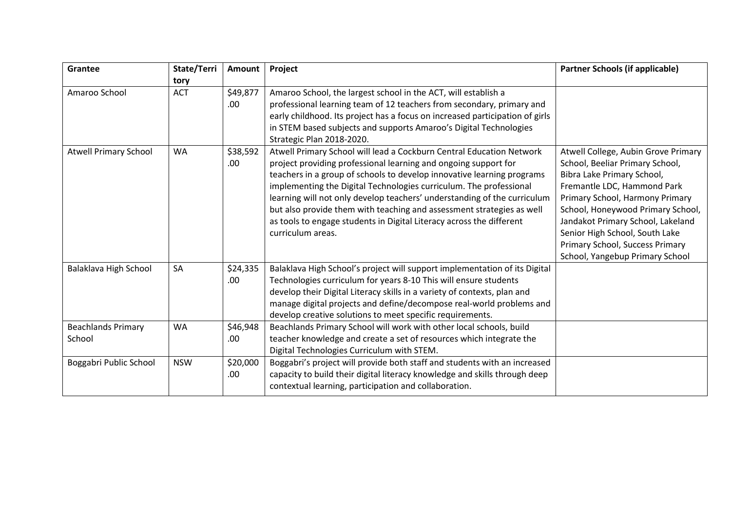| Grantee                             | State/Terri | Amount           | Project                                                                                                                                                                                                                                                                                                                                                                                                                                                                                                                                   | <b>Partner Schools (if applicable)</b>                                                                                                                                                                                                                                                                                                                   |
|-------------------------------------|-------------|------------------|-------------------------------------------------------------------------------------------------------------------------------------------------------------------------------------------------------------------------------------------------------------------------------------------------------------------------------------------------------------------------------------------------------------------------------------------------------------------------------------------------------------------------------------------|----------------------------------------------------------------------------------------------------------------------------------------------------------------------------------------------------------------------------------------------------------------------------------------------------------------------------------------------------------|
|                                     | tory        |                  |                                                                                                                                                                                                                                                                                                                                                                                                                                                                                                                                           |                                                                                                                                                                                                                                                                                                                                                          |
| Amaroo School                       | <b>ACT</b>  | \$49,877<br>.00. | Amaroo School, the largest school in the ACT, will establish a<br>professional learning team of 12 teachers from secondary, primary and<br>early childhood. Its project has a focus on increased participation of girls<br>in STEM based subjects and supports Amaroo's Digital Technologies<br>Strategic Plan 2018-2020.                                                                                                                                                                                                                 |                                                                                                                                                                                                                                                                                                                                                          |
| <b>Atwell Primary School</b>        | <b>WA</b>   | \$38,592<br>.00. | Atwell Primary School will lead a Cockburn Central Education Network<br>project providing professional learning and ongoing support for<br>teachers in a group of schools to develop innovative learning programs<br>implementing the Digital Technologies curriculum. The professional<br>learning will not only develop teachers' understanding of the curriculum<br>but also provide them with teaching and assessment strategies as well<br>as tools to engage students in Digital Literacy across the different<br>curriculum areas. | Atwell College, Aubin Grove Primary<br>School, Beeliar Primary School,<br>Bibra Lake Primary School,<br>Fremantle LDC, Hammond Park<br>Primary School, Harmony Primary<br>School, Honeywood Primary School,<br>Jandakot Primary School, Lakeland<br>Senior High School, South Lake<br>Primary School, Success Primary<br>School, Yangebup Primary School |
| Balaklava High School               | SA          | \$24,335<br>.00  | Balaklava High School's project will support implementation of its Digital<br>Technologies curriculum for years 8-10 This will ensure students<br>develop their Digital Literacy skills in a variety of contexts, plan and<br>manage digital projects and define/decompose real-world problems and<br>develop creative solutions to meet specific requirements.                                                                                                                                                                           |                                                                                                                                                                                                                                                                                                                                                          |
| <b>Beachlands Primary</b><br>School | <b>WA</b>   | \$46,948<br>.00  | Beachlands Primary School will work with other local schools, build<br>teacher knowledge and create a set of resources which integrate the<br>Digital Technologies Curriculum with STEM.                                                                                                                                                                                                                                                                                                                                                  |                                                                                                                                                                                                                                                                                                                                                          |
| Boggabri Public School              | <b>NSW</b>  | \$20,000<br>.00. | Boggabri's project will provide both staff and students with an increased<br>capacity to build their digital literacy knowledge and skills through deep<br>contextual learning, participation and collaboration.                                                                                                                                                                                                                                                                                                                          |                                                                                                                                                                                                                                                                                                                                                          |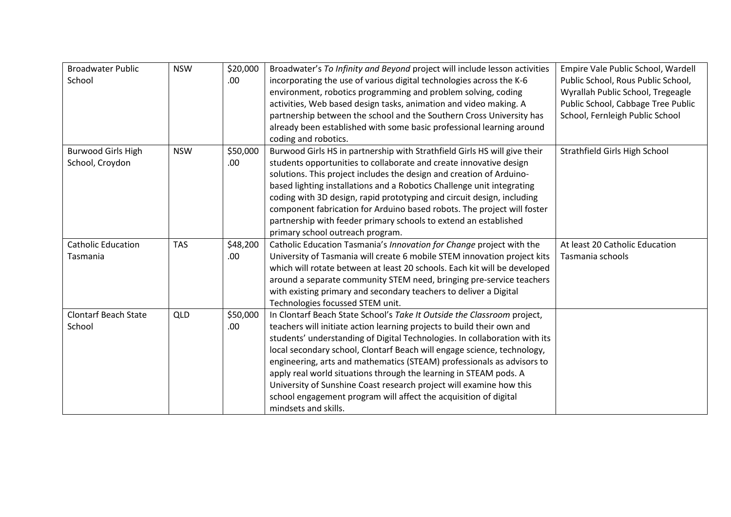| <b>Broadwater Public</b>    | <b>NSW</b> | \$20,000 | Broadwater's To Infinity and Beyond project will include lesson activities | Empire Vale Public School, Wardell |
|-----------------------------|------------|----------|----------------------------------------------------------------------------|------------------------------------|
| School                      |            |          |                                                                            |                                    |
|                             |            | .00.     | incorporating the use of various digital technologies across the K-6       | Public School, Rous Public School, |
|                             |            |          | environment, robotics programming and problem solving, coding              | Wyrallah Public School, Tregeagle  |
|                             |            |          | activities, Web based design tasks, animation and video making. A          | Public School, Cabbage Tree Public |
|                             |            |          | partnership between the school and the Southern Cross University has       | School, Fernleigh Public School    |
|                             |            |          | already been established with some basic professional learning around      |                                    |
|                             |            |          | coding and robotics.                                                       |                                    |
| <b>Burwood Girls High</b>   | <b>NSW</b> | \$50,000 | Burwood Girls HS in partnership with Strathfield Girls HS will give their  | Strathfield Girls High School      |
| School, Croydon             |            | .00      | students opportunities to collaborate and create innovative design         |                                    |
|                             |            |          | solutions. This project includes the design and creation of Arduino-       |                                    |
|                             |            |          | based lighting installations and a Robotics Challenge unit integrating     |                                    |
|                             |            |          | coding with 3D design, rapid prototyping and circuit design, including     |                                    |
|                             |            |          | component fabrication for Arduino based robots. The project will foster    |                                    |
|                             |            |          | partnership with feeder primary schools to extend an established           |                                    |
|                             |            |          | primary school outreach program.                                           |                                    |
| <b>Catholic Education</b>   | <b>TAS</b> | \$48,200 | Catholic Education Tasmania's Innovation for Change project with the       | At least 20 Catholic Education     |
| Tasmania                    |            | .00      | University of Tasmania will create 6 mobile STEM innovation project kits   | Tasmania schools                   |
|                             |            |          | which will rotate between at least 20 schools. Each kit will be developed  |                                    |
|                             |            |          | around a separate community STEM need, bringing pre-service teachers       |                                    |
|                             |            |          | with existing primary and secondary teachers to deliver a Digital          |                                    |
|                             |            |          | Technologies focussed STEM unit.                                           |                                    |
| <b>Clontarf Beach State</b> | <b>QLD</b> | \$50,000 | In Clontarf Beach State School's Take It Outside the Classroom project,    |                                    |
| School                      |            | .00      | teachers will initiate action learning projects to build their own and     |                                    |
|                             |            |          | students' understanding of Digital Technologies. In collaboration with its |                                    |
|                             |            |          | local secondary school, Clontarf Beach will engage science, technology,    |                                    |
|                             |            |          | engineering, arts and mathematics (STEAM) professionals as advisors to     |                                    |
|                             |            |          | apply real world situations through the learning in STEAM pods. A          |                                    |
|                             |            |          | University of Sunshine Coast research project will examine how this        |                                    |
|                             |            |          | school engagement program will affect the acquisition of digital           |                                    |
|                             |            |          | mindsets and skills.                                                       |                                    |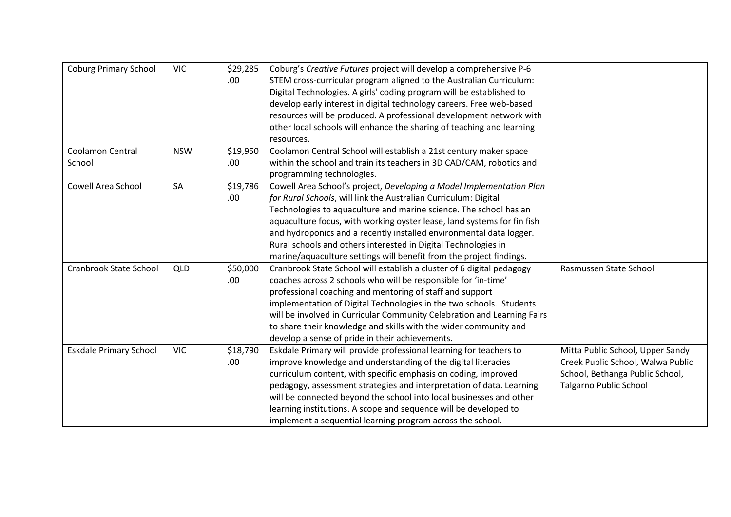| <b>Coburg Primary School</b>  | <b>VIC</b> | \$29,285 | Coburg's Creative Futures project will develop a comprehensive P-6      |                                   |
|-------------------------------|------------|----------|-------------------------------------------------------------------------|-----------------------------------|
|                               |            | .00.     | STEM cross-curricular program aligned to the Australian Curriculum:     |                                   |
|                               |            |          | Digital Technologies. A girls' coding program will be established to    |                                   |
|                               |            |          | develop early interest in digital technology careers. Free web-based    |                                   |
|                               |            |          | resources will be produced. A professional development network with     |                                   |
|                               |            |          | other local schools will enhance the sharing of teaching and learning   |                                   |
|                               |            |          | resources.                                                              |                                   |
| <b>Coolamon Central</b>       | <b>NSW</b> | \$19,950 | Coolamon Central School will establish a 21st century maker space       |                                   |
| School                        |            | .00.     | within the school and train its teachers in 3D CAD/CAM, robotics and    |                                   |
|                               |            |          | programming technologies.                                               |                                   |
| Cowell Area School            | <b>SA</b>  | \$19,786 | Cowell Area School's project, Developing a Model Implementation Plan    |                                   |
|                               |            | .00.     | for Rural Schools, will link the Australian Curriculum: Digital         |                                   |
|                               |            |          | Technologies to aquaculture and marine science. The school has an       |                                   |
|                               |            |          | aquaculture focus, with working oyster lease, land systems for fin fish |                                   |
|                               |            |          | and hydroponics and a recently installed environmental data logger.     |                                   |
|                               |            |          | Rural schools and others interested in Digital Technologies in          |                                   |
|                               |            |          | marine/aquaculture settings will benefit from the project findings.     |                                   |
| Cranbrook State School        | <b>QLD</b> | \$50,000 | Cranbrook State School will establish a cluster of 6 digital pedagogy   | Rasmussen State School            |
|                               |            | .00.     | coaches across 2 schools who will be responsible for 'in-time'          |                                   |
|                               |            |          | professional coaching and mentoring of staff and support                |                                   |
|                               |            |          | implementation of Digital Technologies in the two schools. Students     |                                   |
|                               |            |          | will be involved in Curricular Community Celebration and Learning Fairs |                                   |
|                               |            |          | to share their knowledge and skills with the wider community and        |                                   |
|                               |            |          | develop a sense of pride in their achievements.                         |                                   |
| <b>Eskdale Primary School</b> | <b>VIC</b> | \$18,790 | Eskdale Primary will provide professional learning for teachers to      | Mitta Public School, Upper Sandy  |
|                               |            | .00.     | improve knowledge and understanding of the digital literacies           | Creek Public School, Walwa Public |
|                               |            |          | curriculum content, with specific emphasis on coding, improved          | School, Bethanga Public School,   |
|                               |            |          | pedagogy, assessment strategies and interpretation of data. Learning    | <b>Talgarno Public School</b>     |
|                               |            |          | will be connected beyond the school into local businesses and other     |                                   |
|                               |            |          | learning institutions. A scope and sequence will be developed to        |                                   |
|                               |            |          | implement a sequential learning program across the school.              |                                   |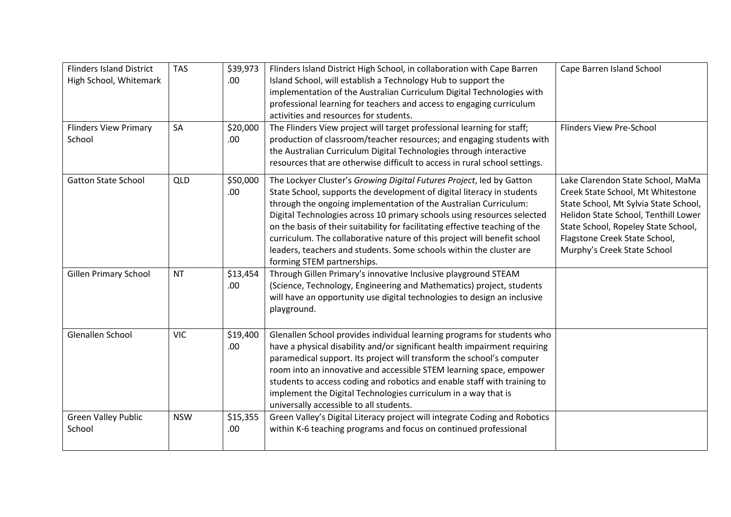| <b>Flinders Island District</b><br>High School, Whitemark<br><b>Flinders View Primary</b> | <b>TAS</b><br>SA | \$39,973<br>.00<br>\$20,000 | Flinders Island District High School, in collaboration with Cape Barren<br>Island School, will establish a Technology Hub to support the<br>implementation of the Australian Curriculum Digital Technologies with<br>professional learning for teachers and access to engaging curriculum<br>activities and resources for students.<br>The Flinders View project will target professional learning for staff;                                                                                                                                                  | Cape Barren Island School<br><b>Flinders View Pre-School</b>                                                                                                                                                                                                   |
|-------------------------------------------------------------------------------------------|------------------|-----------------------------|----------------------------------------------------------------------------------------------------------------------------------------------------------------------------------------------------------------------------------------------------------------------------------------------------------------------------------------------------------------------------------------------------------------------------------------------------------------------------------------------------------------------------------------------------------------|----------------------------------------------------------------------------------------------------------------------------------------------------------------------------------------------------------------------------------------------------------------|
| School                                                                                    |                  | .00.                        | production of classroom/teacher resources; and engaging students with<br>the Australian Curriculum Digital Technologies through interactive<br>resources that are otherwise difficult to access in rural school settings.                                                                                                                                                                                                                                                                                                                                      |                                                                                                                                                                                                                                                                |
| <b>Gatton State School</b>                                                                | QLD              | \$50,000<br>.00             | The Lockyer Cluster's Growing Digital Futures Project, led by Gatton<br>State School, supports the development of digital literacy in students<br>through the ongoing implementation of the Australian Curriculum:<br>Digital Technologies across 10 primary schools using resources selected<br>on the basis of their suitability for facilitating effective teaching of the<br>curriculum. The collaborative nature of this project will benefit school<br>leaders, teachers and students. Some schools within the cluster are<br>forming STEM partnerships. | Lake Clarendon State School, MaMa<br>Creek State School, Mt Whitestone<br>State School, Mt Sylvia State School,<br>Helidon State School, Tenthill Lower<br>State School, Ropeley State School,<br>Flagstone Creek State School,<br>Murphy's Creek State School |
| <b>Gillen Primary School</b>                                                              | <b>NT</b>        | \$13,454<br>.00             | Through Gillen Primary's innovative Inclusive playground STEAM<br>(Science, Technology, Engineering and Mathematics) project, students<br>will have an opportunity use digital technologies to design an inclusive<br>playground.                                                                                                                                                                                                                                                                                                                              |                                                                                                                                                                                                                                                                |
| Glenallen School                                                                          | <b>VIC</b>       | \$19,400<br>.00             | Glenallen School provides individual learning programs for students who<br>have a physical disability and/or significant health impairment requiring<br>paramedical support. Its project will transform the school's computer<br>room into an innovative and accessible STEM learning space, empower<br>students to access coding and robotics and enable staff with training to<br>implement the Digital Technologies curriculum in a way that is<br>universally accessible to all students.                                                                  |                                                                                                                                                                                                                                                                |
| <b>Green Valley Public</b><br>School                                                      | <b>NSW</b>       | \$15,355<br>.00             | Green Valley's Digital Literacy project will integrate Coding and Robotics<br>within K-6 teaching programs and focus on continued professional                                                                                                                                                                                                                                                                                                                                                                                                                 |                                                                                                                                                                                                                                                                |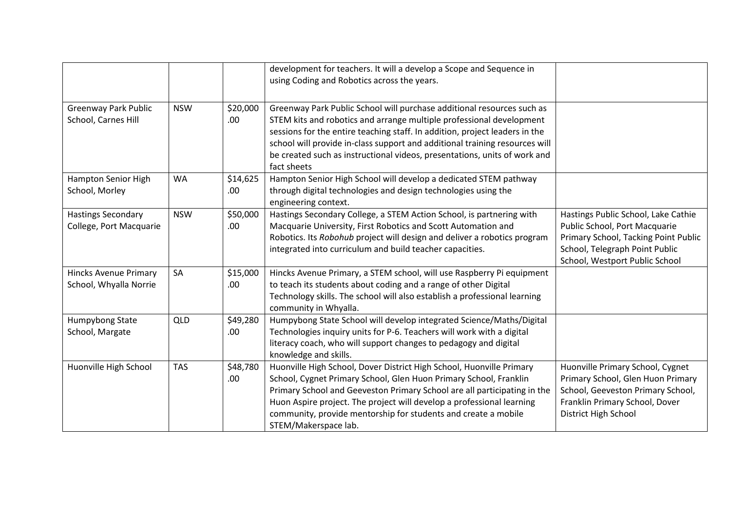|                                                        |            |                  | development for teachers. It will a develop a Scope and Sequence in<br>using Coding and Robotics across the years.                                                                                                                                                                                                                                                                                       |                                                                                                                                                                                  |
|--------------------------------------------------------|------------|------------------|----------------------------------------------------------------------------------------------------------------------------------------------------------------------------------------------------------------------------------------------------------------------------------------------------------------------------------------------------------------------------------------------------------|----------------------------------------------------------------------------------------------------------------------------------------------------------------------------------|
| <b>Greenway Park Public</b><br>School, Carnes Hill     | <b>NSW</b> | \$20,000<br>.00. | Greenway Park Public School will purchase additional resources such as<br>STEM kits and robotics and arrange multiple professional development<br>sessions for the entire teaching staff. In addition, project leaders in the<br>school will provide in-class support and additional training resources will<br>be created such as instructional videos, presentations, units of work and<br>fact sheets |                                                                                                                                                                                  |
| Hampton Senior High<br>School, Morley                  | <b>WA</b>  | \$14,625<br>.00. | Hampton Senior High School will develop a dedicated STEM pathway<br>through digital technologies and design technologies using the<br>engineering context.                                                                                                                                                                                                                                               |                                                                                                                                                                                  |
| <b>Hastings Secondary</b><br>College, Port Macquarie   | <b>NSW</b> | \$50,000<br>.00  | Hastings Secondary College, a STEM Action School, is partnering with<br>Macquarie University, First Robotics and Scott Automation and<br>Robotics. Its Robohub project will design and deliver a robotics program<br>integrated into curriculum and build teacher capacities.                                                                                                                            | Hastings Public School, Lake Cathie<br>Public School, Port Macquarie<br>Primary School, Tacking Point Public<br>School, Telegraph Point Public<br>School, Westport Public School |
| <b>Hincks Avenue Primary</b><br>School, Whyalla Norrie | SA         | \$15,000<br>.00  | Hincks Avenue Primary, a STEM school, will use Raspberry Pi equipment<br>to teach its students about coding and a range of other Digital<br>Technology skills. The school will also establish a professional learning<br>community in Whyalla.                                                                                                                                                           |                                                                                                                                                                                  |
| Humpybong State<br>School, Margate                     | QLD        | \$49,280<br>.00. | Humpybong State School will develop integrated Science/Maths/Digital<br>Technologies inquiry units for P-6. Teachers will work with a digital<br>literacy coach, who will support changes to pedagogy and digital<br>knowledge and skills.                                                                                                                                                               |                                                                                                                                                                                  |
| Huonville High School                                  | <b>TAS</b> | \$48,780<br>.00  | Huonville High School, Dover District High School, Huonville Primary<br>School, Cygnet Primary School, Glen Huon Primary School, Franklin<br>Primary School and Geeveston Primary School are all participating in the<br>Huon Aspire project. The project will develop a professional learning<br>community, provide mentorship for students and create a mobile<br>STEM/Makerspace lab.                 | Huonville Primary School, Cygnet<br>Primary School, Glen Huon Primary<br>School, Geeveston Primary School,<br>Franklin Primary School, Dover<br>District High School             |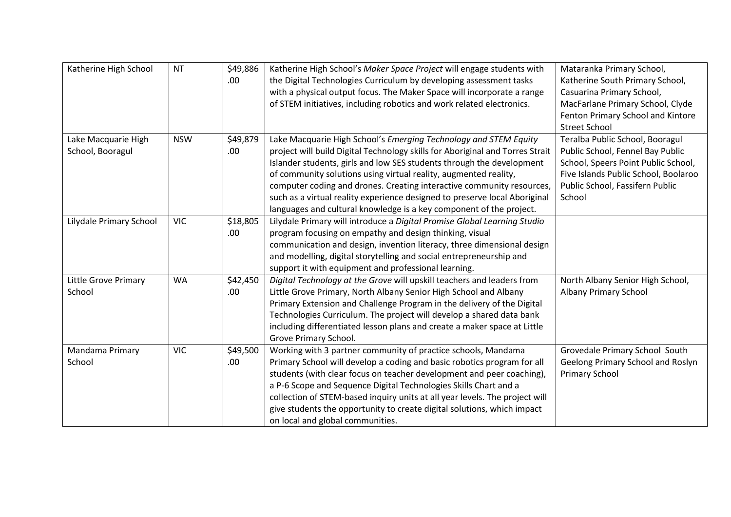| Katherine High School   | <b>NT</b>  | \$49,886 | Katherine High School's Maker Space Project will engage students with         | Mataranka Primary School,            |
|-------------------------|------------|----------|-------------------------------------------------------------------------------|--------------------------------------|
|                         |            | .00      | the Digital Technologies Curriculum by developing assessment tasks            | Katherine South Primary School,      |
|                         |            |          | with a physical output focus. The Maker Space will incorporate a range        | Casuarina Primary School,            |
|                         |            |          | of STEM initiatives, including robotics and work related electronics.         | MacFarlane Primary School, Clyde     |
|                         |            |          |                                                                               | Fenton Primary School and Kintore    |
|                         |            |          |                                                                               | <b>Street School</b>                 |
| Lake Macquarie High     | <b>NSW</b> | \$49,879 | Lake Macquarie High School's Emerging Technology and STEM Equity              | Teralba Public School, Booragul      |
| School, Booragul        |            | .00      | project will build Digital Technology skills for Aboriginal and Torres Strait | Public School, Fennel Bay Public     |
|                         |            |          | Islander students, girls and low SES students through the development         | School, Speers Point Public School,  |
|                         |            |          | of community solutions using virtual reality, augmented reality,              | Five Islands Public School, Boolaroo |
|                         |            |          | computer coding and drones. Creating interactive community resources,         | Public School, Fassifern Public      |
|                         |            |          | such as a virtual reality experience designed to preserve local Aboriginal    | School                               |
|                         |            |          | languages and cultural knowledge is a key component of the project.           |                                      |
| Lilydale Primary School | <b>VIC</b> | \$18,805 | Lilydale Primary will introduce a Digital Promise Global Learning Studio      |                                      |
|                         |            | .00      | program focusing on empathy and design thinking, visual                       |                                      |
|                         |            |          | communication and design, invention literacy, three dimensional design        |                                      |
|                         |            |          | and modelling, digital storytelling and social entrepreneurship and           |                                      |
|                         |            |          | support it with equipment and professional learning.                          |                                      |
| Little Grove Primary    | <b>WA</b>  | \$42,450 | Digital Technology at the Grove will upskill teachers and leaders from        | North Albany Senior High School,     |
| School                  |            | .00.     | Little Grove Primary, North Albany Senior High School and Albany              | Albany Primary School                |
|                         |            |          | Primary Extension and Challenge Program in the delivery of the Digital        |                                      |
|                         |            |          | Technologies Curriculum. The project will develop a shared data bank          |                                      |
|                         |            |          | including differentiated lesson plans and create a maker space at Little      |                                      |
|                         |            |          | Grove Primary School.                                                         |                                      |
| Mandama Primary         | <b>VIC</b> | \$49,500 | Working with 3 partner community of practice schools, Mandama                 | Grovedale Primary School South       |
| School                  |            | .00.     | Primary School will develop a coding and basic robotics program for all       | Geelong Primary School and Roslyn    |
|                         |            |          | students (with clear focus on teacher development and peer coaching),         | Primary School                       |
|                         |            |          | a P-6 Scope and Sequence Digital Technologies Skills Chart and a              |                                      |
|                         |            |          | collection of STEM-based inquiry units at all year levels. The project will   |                                      |
|                         |            |          | give students the opportunity to create digital solutions, which impact       |                                      |
|                         |            |          | on local and global communities.                                              |                                      |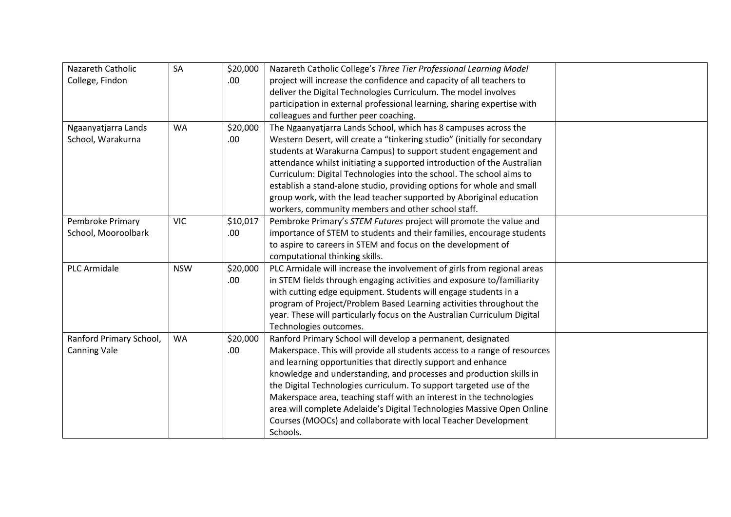| Nazareth Catholic       | SA         | \$20,000 | Nazareth Catholic College's Three Tier Professional Learning Model        |  |
|-------------------------|------------|----------|---------------------------------------------------------------------------|--|
| College, Findon         |            | .00.     | project will increase the confidence and capacity of all teachers to      |  |
|                         |            |          | deliver the Digital Technologies Curriculum. The model involves           |  |
|                         |            |          | participation in external professional learning, sharing expertise with   |  |
|                         |            |          | colleagues and further peer coaching.                                     |  |
| Ngaanyatjarra Lands     | <b>WA</b>  | \$20,000 | The Ngaanyatjarra Lands School, which has 8 campuses across the           |  |
| School, Warakurna       |            | .00      | Western Desert, will create a "tinkering studio" (initially for secondary |  |
|                         |            |          | students at Warakurna Campus) to support student engagement and           |  |
|                         |            |          | attendance whilst initiating a supported introduction of the Australian   |  |
|                         |            |          | Curriculum: Digital Technologies into the school. The school aims to      |  |
|                         |            |          | establish a stand-alone studio, providing options for whole and small     |  |
|                         |            |          | group work, with the lead teacher supported by Aboriginal education       |  |
|                         |            |          | workers, community members and other school staff.                        |  |
| Pembroke Primary        | <b>VIC</b> | \$10,017 | Pembroke Primary's STEM Futures project will promote the value and        |  |
| School, Mooroolbark     |            | .00.     | importance of STEM to students and their families, encourage students     |  |
|                         |            |          | to aspire to careers in STEM and focus on the development of              |  |
|                         |            |          | computational thinking skills.                                            |  |
| <b>PLC Armidale</b>     | <b>NSW</b> | \$20,000 | PLC Armidale will increase the involvement of girls from regional areas   |  |
|                         |            | .00.     | in STEM fields through engaging activities and exposure to/familiarity    |  |
|                         |            |          | with cutting edge equipment. Students will engage students in a           |  |
|                         |            |          | program of Project/Problem Based Learning activities throughout the       |  |
|                         |            |          | year. These will particularly focus on the Australian Curriculum Digital  |  |
|                         |            |          | Technologies outcomes.                                                    |  |
| Ranford Primary School, | <b>WA</b>  | \$20,000 | Ranford Primary School will develop a permanent, designated               |  |
| <b>Canning Vale</b>     |            | .00.     | Makerspace. This will provide all students access to a range of resources |  |
|                         |            |          | and learning opportunities that directly support and enhance              |  |
|                         |            |          | knowledge and understanding, and processes and production skills in       |  |
|                         |            |          | the Digital Technologies curriculum. To support targeted use of the       |  |
|                         |            |          | Makerspace area, teaching staff with an interest in the technologies      |  |
|                         |            |          | area will complete Adelaide's Digital Technologies Massive Open Online    |  |
|                         |            |          | Courses (MOOCs) and collaborate with local Teacher Development            |  |
|                         |            |          | Schools.                                                                  |  |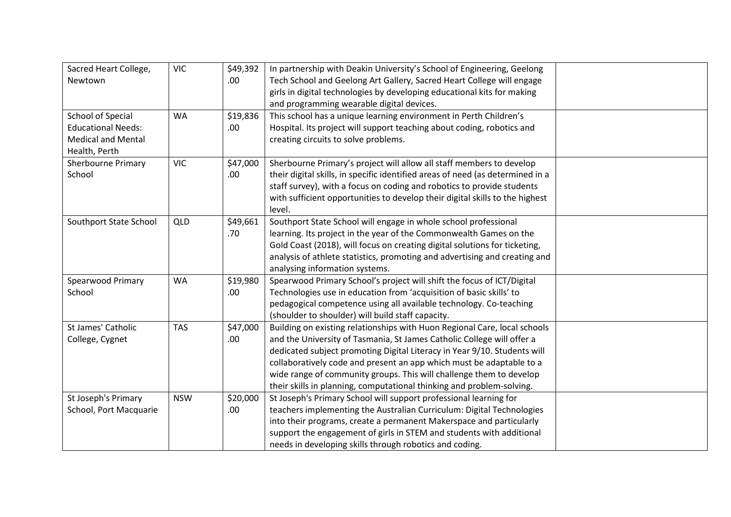| Sacred Heart College,     | <b>VIC</b> | \$49,392 | In partnership with Deakin University's School of Engineering, Geelong         |  |
|---------------------------|------------|----------|--------------------------------------------------------------------------------|--|
| Newtown                   |            | .00.     | Tech School and Geelong Art Gallery, Sacred Heart College will engage          |  |
|                           |            |          | girls in digital technologies by developing educational kits for making        |  |
|                           |            |          | and programming wearable digital devices.                                      |  |
| School of Special         | <b>WA</b>  | \$19,836 | This school has a unique learning environment in Perth Children's              |  |
| <b>Educational Needs:</b> |            | .00.     | Hospital. Its project will support teaching about coding, robotics and         |  |
| <b>Medical and Mental</b> |            |          | creating circuits to solve problems.                                           |  |
| Health, Perth             |            |          |                                                                                |  |
| <b>Sherbourne Primary</b> | <b>VIC</b> | \$47,000 | Sherbourne Primary's project will allow all staff members to develop           |  |
| School                    |            | .00      | their digital skills, in specific identified areas of need (as determined in a |  |
|                           |            |          | staff survey), with a focus on coding and robotics to provide students         |  |
|                           |            |          | with sufficient opportunities to develop their digital skills to the highest   |  |
|                           |            |          | level.                                                                         |  |
| Southport State School    | <b>QLD</b> | \$49,661 | Southport State School will engage in whole school professional                |  |
|                           |            | .70      | learning. Its project in the year of the Commonwealth Games on the             |  |
|                           |            |          | Gold Coast (2018), will focus on creating digital solutions for ticketing,     |  |
|                           |            |          | analysis of athlete statistics, promoting and advertising and creating and     |  |
|                           |            |          | analysing information systems.                                                 |  |
| <b>Spearwood Primary</b>  | <b>WA</b>  | \$19,980 | Spearwood Primary School's project will shift the focus of ICT/Digital         |  |
| School                    |            | .00.     | Technologies use in education from 'acquisition of basic skills' to            |  |
|                           |            |          | pedagogical competence using all available technology. Co-teaching             |  |
|                           |            |          | (shoulder to shoulder) will build staff capacity.                              |  |
| St James' Catholic        | <b>TAS</b> | \$47,000 | Building on existing relationships with Huon Regional Care, local schools      |  |
| College, Cygnet           |            | .00.     | and the University of Tasmania, St James Catholic College will offer a         |  |
|                           |            |          | dedicated subject promoting Digital Literacy in Year 9/10. Students will       |  |
|                           |            |          | collaboratively code and present an app which must be adaptable to a           |  |
|                           |            |          | wide range of community groups. This will challenge them to develop            |  |
|                           |            |          | their skills in planning, computational thinking and problem-solving.          |  |
| St Joseph's Primary       | <b>NSW</b> | \$20,000 | St Joseph's Primary School will support professional learning for              |  |
| School, Port Macquarie    |            | .00.     | teachers implementing the Australian Curriculum: Digital Technologies          |  |
|                           |            |          | into their programs, create a permanent Makerspace and particularly            |  |
|                           |            |          | support the engagement of girls in STEM and students with additional           |  |
|                           |            |          | needs in developing skills through robotics and coding.                        |  |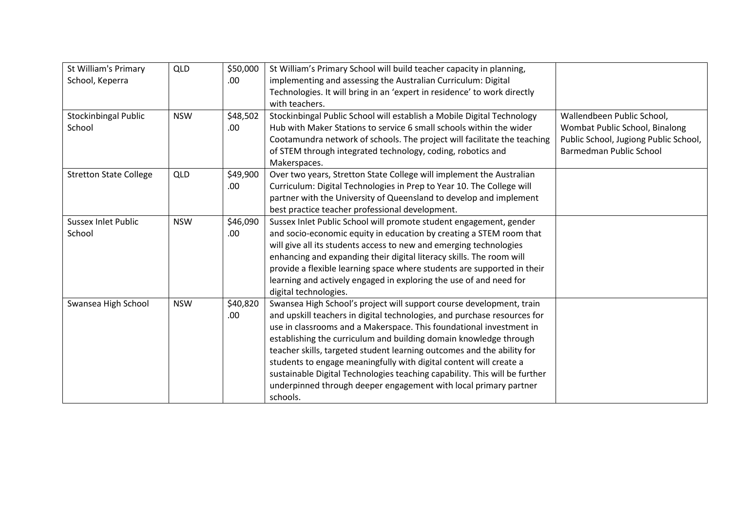| St William's Primary          | <b>QLD</b> | \$50,000 | St William's Primary School will build teacher capacity in planning,       |                                       |
|-------------------------------|------------|----------|----------------------------------------------------------------------------|---------------------------------------|
| School, Keperra               |            | .00.     | implementing and assessing the Australian Curriculum: Digital              |                                       |
|                               |            |          | Technologies. It will bring in an 'expert in residence' to work directly   |                                       |
|                               |            |          | with teachers.                                                             |                                       |
| Stockinbingal Public          | <b>NSW</b> | \$48,502 | Stockinbingal Public School will establish a Mobile Digital Technology     | Wallendbeen Public School,            |
| School                        |            | .00      | Hub with Maker Stations to service 6 small schools within the wider        | Wombat Public School, Binalong        |
|                               |            |          | Cootamundra network of schools. The project will facilitate the teaching   | Public School, Jugiong Public School, |
|                               |            |          | of STEM through integrated technology, coding, robotics and                | Barmedman Public School               |
|                               |            |          | Makerspaces.                                                               |                                       |
| <b>Stretton State College</b> | QLD        | \$49,900 | Over two years, Stretton State College will implement the Australian       |                                       |
|                               |            | .00.     | Curriculum: Digital Technologies in Prep to Year 10. The College will      |                                       |
|                               |            |          | partner with the University of Queensland to develop and implement         |                                       |
|                               |            |          | best practice teacher professional development.                            |                                       |
| <b>Sussex Inlet Public</b>    | <b>NSW</b> | \$46,090 | Sussex Inlet Public School will promote student engagement, gender         |                                       |
| School                        |            | .00      | and socio-economic equity in education by creating a STEM room that        |                                       |
|                               |            |          | will give all its students access to new and emerging technologies         |                                       |
|                               |            |          | enhancing and expanding their digital literacy skills. The room will       |                                       |
|                               |            |          | provide a flexible learning space where students are supported in their    |                                       |
|                               |            |          | learning and actively engaged in exploring the use of and need for         |                                       |
|                               |            |          | digital technologies.                                                      |                                       |
| Swansea High School           | <b>NSW</b> | \$40,820 | Swansea High School's project will support course development, train       |                                       |
|                               |            | .00.     | and upskill teachers in digital technologies, and purchase resources for   |                                       |
|                               |            |          | use in classrooms and a Makerspace. This foundational investment in        |                                       |
|                               |            |          | establishing the curriculum and building domain knowledge through          |                                       |
|                               |            |          | teacher skills, targeted student learning outcomes and the ability for     |                                       |
|                               |            |          | students to engage meaningfully with digital content will create a         |                                       |
|                               |            |          | sustainable Digital Technologies teaching capability. This will be further |                                       |
|                               |            |          | underpinned through deeper engagement with local primary partner           |                                       |
|                               |            |          | schools.                                                                   |                                       |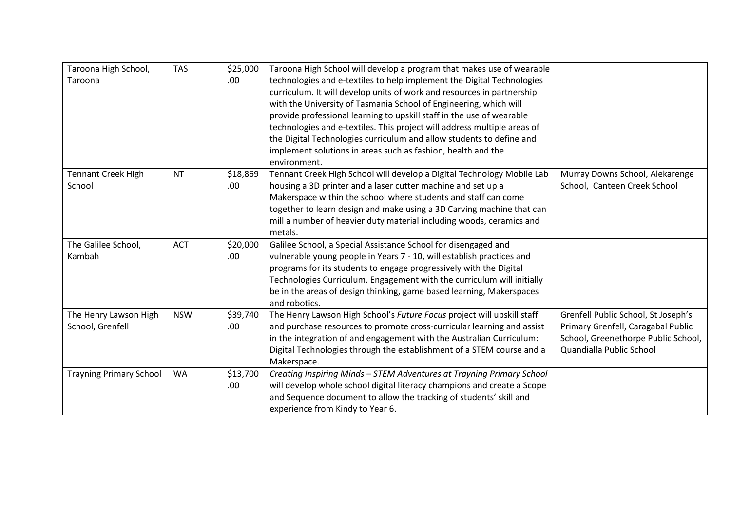| Taroona High School,           | <b>TAS</b> | \$25,000 | Taroona High School will develop a program that makes use of wearable    |                                     |
|--------------------------------|------------|----------|--------------------------------------------------------------------------|-------------------------------------|
| Taroona                        |            | .00.     | technologies and e-textiles to help implement the Digital Technologies   |                                     |
|                                |            |          | curriculum. It will develop units of work and resources in partnership   |                                     |
|                                |            |          | with the University of Tasmania School of Engineering, which will        |                                     |
|                                |            |          | provide professional learning to upskill staff in the use of wearable    |                                     |
|                                |            |          | technologies and e-textiles. This project will address multiple areas of |                                     |
|                                |            |          | the Digital Technologies curriculum and allow students to define and     |                                     |
|                                |            |          | implement solutions in areas such as fashion, health and the             |                                     |
|                                |            |          | environment.                                                             |                                     |
| <b>Tennant Creek High</b>      | <b>NT</b>  | \$18,869 | Tennant Creek High School will develop a Digital Technology Mobile Lab   | Murray Downs School, Alekarenge     |
| School                         |            | .00.     | housing a 3D printer and a laser cutter machine and set up a             | School, Canteen Creek School        |
|                                |            |          | Makerspace within the school where students and staff can come           |                                     |
|                                |            |          | together to learn design and make using a 3D Carving machine that can    |                                     |
|                                |            |          | mill a number of heavier duty material including woods, ceramics and     |                                     |
|                                |            |          | metals.                                                                  |                                     |
| The Galilee School,            | <b>ACT</b> | \$20,000 | Galilee School, a Special Assistance School for disengaged and           |                                     |
| Kambah                         |            | .00.     | vulnerable young people in Years 7 - 10, will establish practices and    |                                     |
|                                |            |          | programs for its students to engage progressively with the Digital       |                                     |
|                                |            |          | Technologies Curriculum. Engagement with the curriculum will initially   |                                     |
|                                |            |          | be in the areas of design thinking, game based learning, Makerspaces     |                                     |
|                                |            |          | and robotics.                                                            |                                     |
| The Henry Lawson High          | <b>NSW</b> | \$39,740 | The Henry Lawson High School's Future Focus project will upskill staff   | Grenfell Public School, St Joseph's |
| School, Grenfell               |            | .00.     | and purchase resources to promote cross-curricular learning and assist   | Primary Grenfell, Caragabal Public  |
|                                |            |          | in the integration of and engagement with the Australian Curriculum:     | School, Greenethorpe Public School, |
|                                |            |          | Digital Technologies through the establishment of a STEM course and a    | Quandialla Public School            |
|                                |            |          | Makerspace.                                                              |                                     |
| <b>Trayning Primary School</b> | <b>WA</b>  | \$13,700 | Creating Inspiring Minds - STEM Adventures at Trayning Primary School    |                                     |
|                                |            | .00.     | will develop whole school digital literacy champions and create a Scope  |                                     |
|                                |            |          | and Sequence document to allow the tracking of students' skill and       |                                     |
|                                |            |          | experience from Kindy to Year 6.                                         |                                     |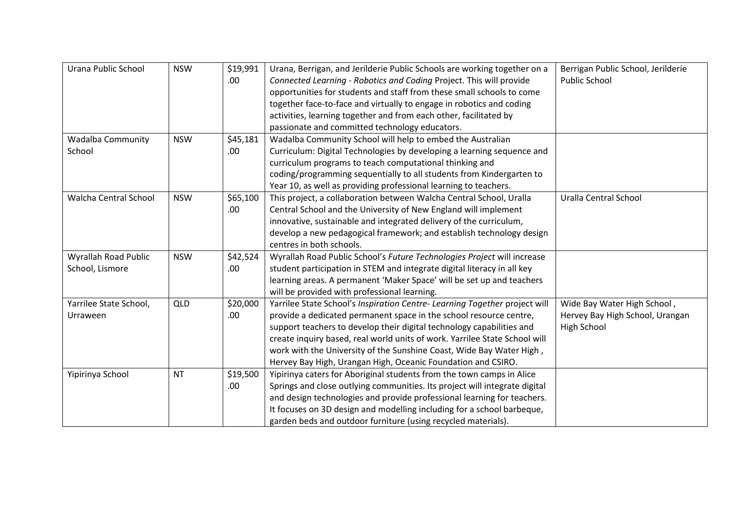| Urana Public School          | <b>NSW</b> | \$19,991 | Urana, Berrigan, and Jerilderie Public Schools are working together on a   | Berrigan Public School, Jerilderie |
|------------------------------|------------|----------|----------------------------------------------------------------------------|------------------------------------|
|                              |            | .00.     | Connected Learning - Robotics and Coding Project. This will provide        | <b>Public School</b>               |
|                              |            |          | opportunities for students and staff from these small schools to come      |                                    |
|                              |            |          | together face-to-face and virtually to engage in robotics and coding       |                                    |
|                              |            |          | activities, learning together and from each other, facilitated by          |                                    |
|                              |            |          | passionate and committed technology educators.                             |                                    |
| <b>Wadalba Community</b>     | <b>NSW</b> | \$45,181 | Wadalba Community School will help to embed the Australian                 |                                    |
| School                       |            | .00.     | Curriculum: Digital Technologies by developing a learning sequence and     |                                    |
|                              |            |          | curriculum programs to teach computational thinking and                    |                                    |
|                              |            |          | coding/programming sequentially to all students from Kindergarten to       |                                    |
|                              |            |          | Year 10, as well as providing professional learning to teachers.           |                                    |
| <b>Walcha Central School</b> | <b>NSW</b> | \$65,100 | This project, a collaboration between Walcha Central School, Uralla        | Uralla Central School              |
|                              |            | .00.     | Central School and the University of New England will implement            |                                    |
|                              |            |          | innovative, sustainable and integrated delivery of the curriculum,         |                                    |
|                              |            |          | develop a new pedagogical framework; and establish technology design       |                                    |
|                              |            |          | centres in both schools.                                                   |                                    |
| Wyrallah Road Public         | <b>NSW</b> | \$42,524 | Wyrallah Road Public School's Future Technologies Project will increase    |                                    |
| School, Lismore              |            | .00.     | student participation in STEM and integrate digital literacy in all key    |                                    |
|                              |            |          | learning areas. A permanent 'Maker Space' will be set up and teachers      |                                    |
|                              |            |          | will be provided with professional learning.                               |                                    |
| Yarrilee State School,       | QLD        | \$20,000 | Yarrilee State School's Inspiration Centre-Learning Together project will  | Wide Bay Water High School,        |
| Urraween                     |            | .00      | provide a dedicated permanent space in the school resource centre,         | Hervey Bay High School, Urangan    |
|                              |            |          | support teachers to develop their digital technology capabilities and      | <b>High School</b>                 |
|                              |            |          | create inquiry based, real world units of work. Yarrilee State School will |                                    |
|                              |            |          | work with the University of the Sunshine Coast, Wide Bay Water High,       |                                    |
|                              |            |          | Hervey Bay High, Urangan High, Oceanic Foundation and CSIRO.               |                                    |
| Yipirinya School             | <b>NT</b>  | \$19,500 | Yipirinya caters for Aboriginal students from the town camps in Alice      |                                    |
|                              |            | .00.     | Springs and close outlying communities. Its project will integrate digital |                                    |
|                              |            |          | and design technologies and provide professional learning for teachers.    |                                    |
|                              |            |          | It focuses on 3D design and modelling including for a school barbeque,     |                                    |
|                              |            |          | garden beds and outdoor furniture (using recycled materials).              |                                    |